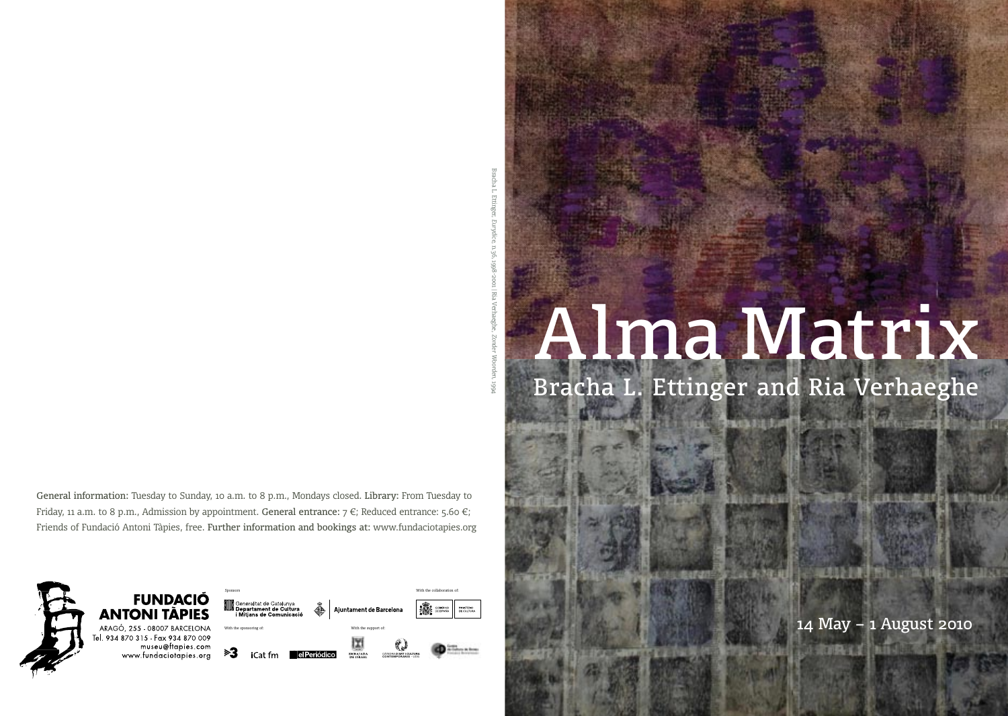# *Eurydice*, n.36, 1998-2001 | Ria Verhaeghe, *Zonder Woorden*, 1994

Bracha L. Ettinger,

General information: Tuesday to Sunday, 10 a.m. to 8 p.m., Mondays closed. Library: From Tuesday to Friday, 11 a.m. to 8 p.m., Admission by appointment. General entrance:  $7 \in$ ; Reduced entrance: 5.60  $\in$ ; Friends of Fundació Antoni Tàpies, free. Further information and bookings at: www.fundaciotapies.org



# Alma Matrix

Bracha L. Ettinger and Ria Verhaeghe

**Julian Mill** 

**Barat** 

**PAULA FOR EXPERIMENTAL AND PROPERTY OF** 

14 May – 1 August 2010

医肌萎缩剂

**COLLECT** 

石林仙花树科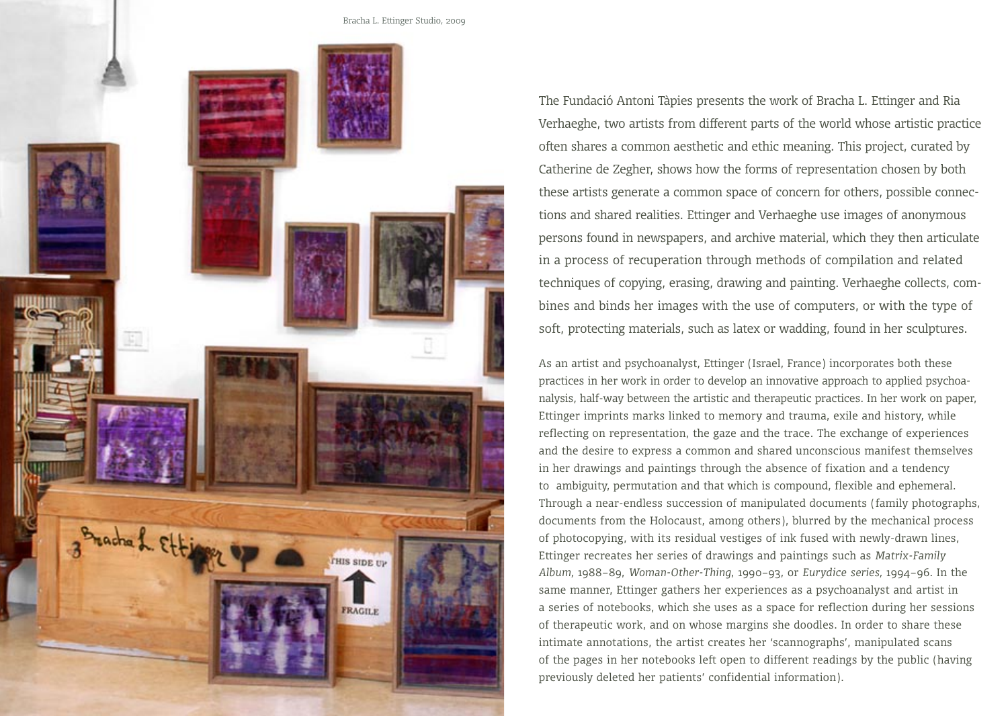

The Fundació Antoni Tàpies presents the work of Bracha L. Ettinger and Ria Verhaeghe, two artists from different parts of the world whose artistic practice often shares a common aesthetic and ethic meaning. This project, curated by Catherine de Zegher, shows how the forms of representation chosen by both these artists generate a common space of concern for others, possible connections and shared realities. Ettinger and Verhaeghe use images of anonymous persons found in newspapers, and archive material, which they then articulate in a process of recuperation through methods of compilation and related techniques of copying, erasing, drawing and painting. Verhaeghe collects, combines and binds her images with the use of computers, or with the type of soft, protecting materials, such as latex or wadding, found in her sculptures.

As an artist and psychoanalyst, Ettinger (Israel, France) incorporates both these practices in her work in order to develop an innovative approach to applied psychoanalysis, half-way between the artistic and therapeutic practices. In her work on paper, Ettinger imprints marks linked to memory and trauma, exile and history, while reflecting on representation, the gaze and the trace. The exchange of experiences and the desire to express a common and shared unconscious manifest themselves in her drawings and paintings through the absence of fixation and a tendency to ambiguity, permutation and that which is compound, flexible and ephemeral. Through a near-endless succession of manipulated documents (family photographs, documents from the Holocaust, among others), blurred by the mechanical process of photocopying, with its residual vestiges of ink fused with newly-drawn lines, Ettinger recreates her series of drawings and paintings such as *Matrix-Family Album,* 1988–89, *Woman-Other-Thing*, 1990–93, or *Eurydice series,* 1994–96. In the same manner, Ettinger gathers her experiences as a psychoanalyst and artist in a series of notebooks, which she uses as a space for reflection during her sessions of therapeutic work, and on whose margins she doodles. In order to share these intimate annotations, the artist creates her 'scannographs', manipulated scans of the pages in her notebooks left open to different readings by the public (having previously deleted her patients' confidential information).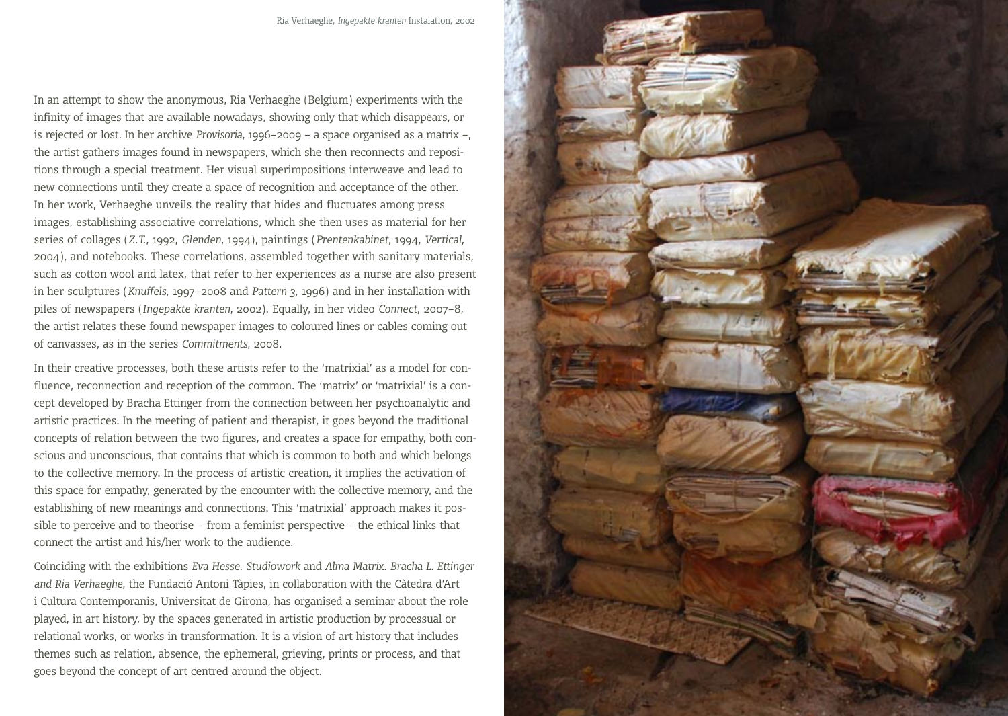In an attempt to show the anonymous, Ria Verhaeghe (Belgium) experiments with the infinity of images that are available nowadays, showing only that which disappears, or is rejected or lost. In her archive *Provisoria*, 1996–2009 – a space organised as a matrix –, the artist gathers images found in newspapers, which she then reconnects and repositions through a special treatment. Her visual superimpositions interweave and lead to new connections until they create a space of recognition and acceptance of the other. In her work, Verhaeghe unveils the reality that hides and fluctuates among press images, establishing associative correlations, which she then uses as material for her series of collages (*Z.T.*, 1992, *Glenden*, 1994), paintings (*Prentenkabinet*, 1994, *Vertical*, 2004), and notebooks. These correlations, assembled together with sanitary materials, such as cotton wool and latex, that refer to her experiences as a nurse are also present in her sculptures (*Knuffels*, 1997–2008 and *Pattern 3*, 1996) and in her installation with piles of newspapers (*Ingepakte kranten*, 2002). Equally, in her video *Connect*, 2007–8, the artist relates these found newspaper images to coloured lines or cables coming out of canvasses, as in the series *Commitments*, 2008.

In their creative processes, both these artists refer to the 'matrixial' as a model for confluence, reconnection and reception of the common. The 'matrix' or 'matrixial' is a concept developed by Bracha Ettinger from the connection between her psychoanalytic and artistic practices. In the meeting of patient and therapist, it goes beyond the traditional concepts of relation between the two figures, and creates a space for empathy, both conscious and unconscious, that contains that which is common to both and which belongs to the collective memory. In the process of artistic creation, it implies the activation of this space for empathy, generated by the encounter with the collective memory, and the establishing of new meanings and connections. This 'matrixial' approach makes it possible to perceive and to theorise – from a feminist perspective – the ethical links that connect the artist and his/her work to the audience.

Coinciding with the exhibitions *Eva Hesse. Studiowork* and *Alma Matrix. Bracha L. Ettinger and Ria Verhaeghe*, the Fundació Antoni Tàpies, in collaboration with the Càtedra d'Art i Cultura Contemporanis, Universitat de Girona, has organised a seminar about the role played, in art history, by the spaces generated in artistic production by processual or relational works, or works in transformation. It is a vision of art history that includes themes such as relation, absence, the ephemeral, grieving, prints or process, and that goes beyond the concept of art centred around the object.

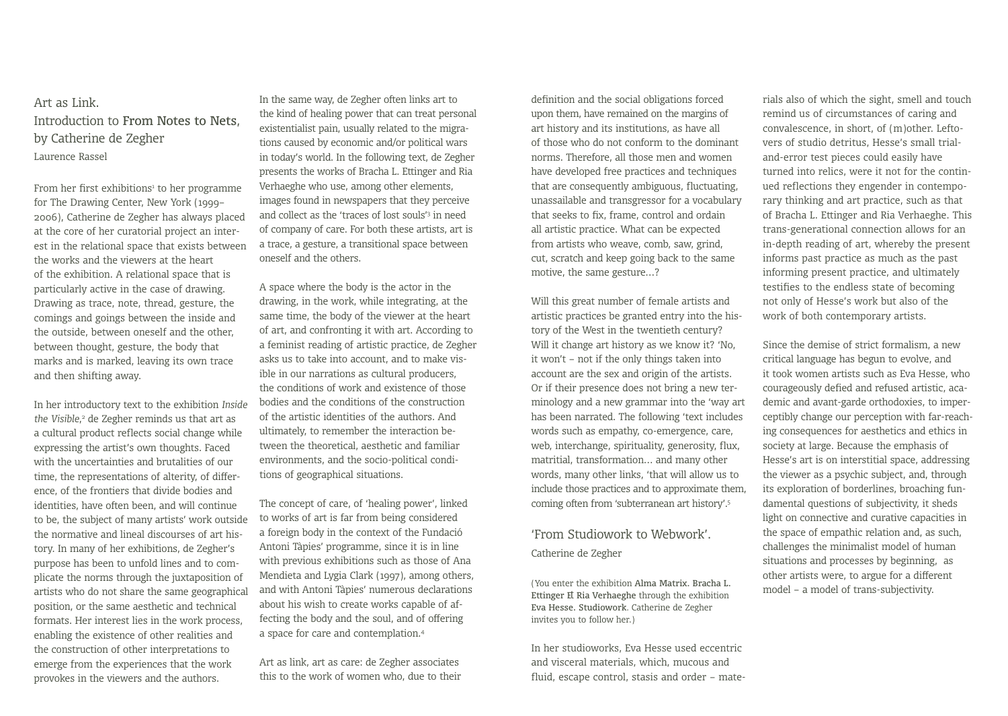# Art as Link. Introduction to From Notes to Nets, by Catherine de Zegher Laurence Rassel

From her first exhibitions<sup>1</sup> to her programme for The Drawing Center, New York (1999– 2006), Catherine de Zegher has always placed at the core of her curatorial project an interest in the relational space that exists between the works and the viewers at the heart of the exhibition. A relational space that is particularly active in the case of drawing. Drawing as trace, note, thread, gesture, the comings and goings between the inside and the outside, between oneself and the other, between thought, gesture, the body that marks and is marked, leaving its own trace and then shifting away.

In her introductory text to the exhibition *Inside the Visible*, 2 de Zegher reminds us that art as a cultural product reflects social change while expressing the artist's own thoughts. Faced with the uncertainties and brutalities of our time, the representations of alterity, of difference, of the frontiers that divide bodies and identities, have often been, and will continue to be, the subject of many artists' work outside the normative and lineal discourses of art history. In many of her exhibitions, de Zegher's purpose has been to unfold lines and to complicate the norms through the juxtaposition of artists who do not share the same geographical position, or the same aesthetic and technical formats. Her interest lies in the work process, enabling the existence of other realities and the construction of other interpretations to emerge from the experiences that the work provokes in the viewers and the authors.

In the same way, de Zegher often links art to the kind of healing power that can treat personal existentialist pain, usually related to the migrations caused by economic and/or political wars in today's world. In the following text, de Zegher presents the works of Bracha L. Ettinger and Ria Verhaeghe who use, among other elements, images found in newspapers that they perceive and collect as the 'traces of lost souls'3 in need of company of care. For both these artists, art is a trace, a gesture, a transitional space between oneself and the others.

A space where the body is the actor in the drawing, in the work, while integrating, at the same time, the body of the viewer at the heart of art, and confronting it with art. According to a feminist reading of artistic practice, de Zegher asks us to take into account, and to make visible in our narrations as cultural producers, the conditions of work and existence of those bodies and the conditions of the construction of the artistic identities of the authors. And ultimately, to remember the interaction between the theoretical, aesthetic and familiar environments, and the socio-political conditions of geographical situations.

The concept of care, of 'healing power', linked to works of art is far from being considered a foreign body in the context of the Fundació Antoni Tàpies' programme, since it is in line with previous exhibitions such as those of Ana Mendieta and Lygia Clark (1997), among others, and with Antoni Tàpies' numerous declarations about his wish to create works capable of affecting the body and the soul, and of offering a space for care and contemplation.4

Art as link, art as care: de Zegher associates this to the work of women who, due to their definition and the social obligations forced upon them, have remained on the margins of art history and its institutions, as have all of those who do not conform to the dominant norms. Therefore, all those men and women have developed free practices and techniques that are consequently ambiguous, fluctuating, unassailable and transgressor for a vocabulary that seeks to fix, frame, control and ordain all artistic practice. What can be expected from artists who weave, comb, saw, grind, cut, scratch and keep going back to the same motive, the same gesture…?

Will this great number of female artists and artistic practices be granted entry into the history of the West in the twentieth century? Will it change art history as we know it? 'No, it won't – not if the only things taken into account are the sex and origin of the artists. Or if their presence does not bring a new terminology and a new grammar into the 'way art has been narrated. The following 'text includes words such as empathy, co-emergence, care, web, interchange, spirituality, generosity, flux, matritial, transformation… and many other words, many other links, 'that will allow us to include those practices and to approximate them, coming often from 'subterranean art history'.5

'From Studiowork to Webwork'. Catherine de Zegher

(You enter the exhibition Alma Matrix. Bracha L. Ettinger E Ria Verhaeghe through the exhibition Eva Hesse. Studiowork*.* Catherine de Zegher invites you to follow her.)

In her studioworks, Eva Hesse used eccentric and visceral materials, which, mucous and fluid, escape control, stasis and order – mate-

rials also of which the sight, smell and touch remind us of circumstances of caring and convalescence, in short, of (m)other. Leftovers of studio detritus, Hesse's small trialand-error test pieces could easily have turned into relics, were it not for the continued reflections they engender in contemporary thinking and art practice, such as that of Bracha L. Ettinger and Ria Verhaeghe. This trans-generational connection allows for an in-depth reading of art, whereby the present informs past practice as much as the past informing present practice, and ultimately testifies to the endless state of becoming not only of Hesse's work but also of the work of both contemporary artists.

Since the demise of strict formalism, a new critical language has begun to evolve, and it took women artists such as Eva Hesse, who courageously defied and refused artistic, academic and avant-garde orthodoxies, to imperceptibly change our perception with far-reaching consequences for aesthetics and ethics in society at large. Because the emphasis of Hesse's art is on interstitial space, addressing the viewer as a psychic subject, and, through its exploration of borderlines, broaching fundamental questions of subjectivity, it sheds light on connective and curative capacities in the space of empathic relation and, as such, challenges the minimalist model of human situations and processes by beginning, as other artists were, to argue for a different model – a model of trans-subjectivity.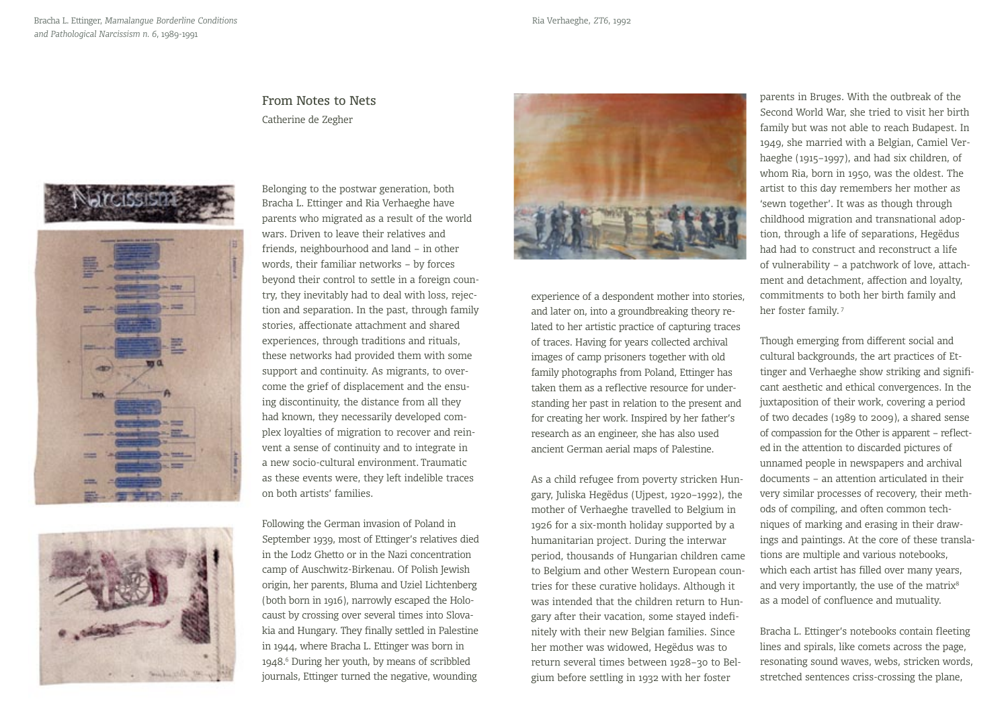### From Notes to Nets Catherine de Zegher







Belonging to the postwar generation, both Bracha L. Ettinger and Ria Verhaeghe have parents who migrated as a result of the world wars. Driven to leave their relatives and friends, neighbourhood and land – in other words, their familiar networks – by forces beyond their control to settle in a foreign country, they inevitably had to deal with loss, rejection and separation. In the past, through family stories, affectionate attachment and shared experiences, through traditions and rituals, these networks had provided them with some support and continuity. As migrants, to overcome the grief of displacement and the ensuing discontinuity, the distance from all they had known, they necessarily developed complex loyalties of migration to recover and reinvent a sense of continuity and to integrate in a new socio-cultural environment. Traumatic as these events were, they left indelible traces on both artists' families.

Following the German invasion of Poland in September 1939, most of Ettinger's relatives died in the Lodz Ghetto or in the Nazi concentration camp of Auschwitz-Birkenau. Of Polish Jewish origin, her parents, Bluma and Uziel Lichtenberg (both born in 1916), narrowly escaped the Holocaust by crossing over several times into Slovakia and Hungary. They finally settled in Palestine in 1944, where Bracha L. Ettinger was born in 1948.6 During her youth, by means of scribbled journals, Ettinger turned the negative, wounding



experience of a despondent mother into stories, and later on, into a groundbreaking theory related to her artistic practice of capturing traces of traces. Having for years collected archival images of camp prisoners together with old family photographs from Poland, Ettinger has taken them as a reflective resource for understanding her past in relation to the present and for creating her work. Inspired by her father's research as an engineer, she has also used ancient German aerial maps of Palestine.

As a child refugee from poverty stricken Hungary, Juliska Hegëdus (Ujpest, 1920–1992), the mother of Verhaeghe travelled to Belgium in 1926 for a six-month holiday supported by a humanitarian project. During the interwar period, thousands of Hungarian children came to Belgium and other Western European countries for these curative holidays. Although it was intended that the children return to Hungary after their vacation, some stayed indefinitely with their new Belgian families. Since her mother was widowed, Hegëdus was to return several times between 1928–30 to Belgium before settling in 1932 with her foster

parents in Bruges. With the outbreak of the Second World War, she tried to visit her birth family but was not able to reach Budapest. In 1949, she married with a Belgian, Camiel Verhaeghe (1915–1997), and had six children, of whom Ria, born in 1950, was the oldest. The artist to this day remembers her mother as 'sewn together'. It was as though through childhood migration and transnational adoption, through a life of separations, Hegëdus had had to construct and reconstruct a life of vulnerability – a patchwork of love, attachment and detachment, affection and loyalty, commitments to both her birth family and her foster family.<sup>7</sup>

Though emerging from different social and cultural backgrounds, the art practices of Ettinger and Verhaeghe show striking and significant aesthetic and ethical convergences. In the juxtaposition of their work, covering a period of two decades (1989 to 2009), a shared sense of compassion for the Other is apparent – reflected in the attention to discarded pictures of unnamed people in newspapers and archival documents – an attention articulated in their very similar processes of recovery, their methods of compiling, and often common techniques of marking and erasing in their drawings and paintings. At the core of these translations are multiple and various notebooks, which each artist has filled over many years, and very importantly, the use of the matrix<sup>8</sup> as a model of confluence and mutuality.

Bracha L. Ettinger's notebooks contain fleeting lines and spirals, like comets across the page, resonating sound waves, webs, stricken words, stretched sentences criss-crossing the plane,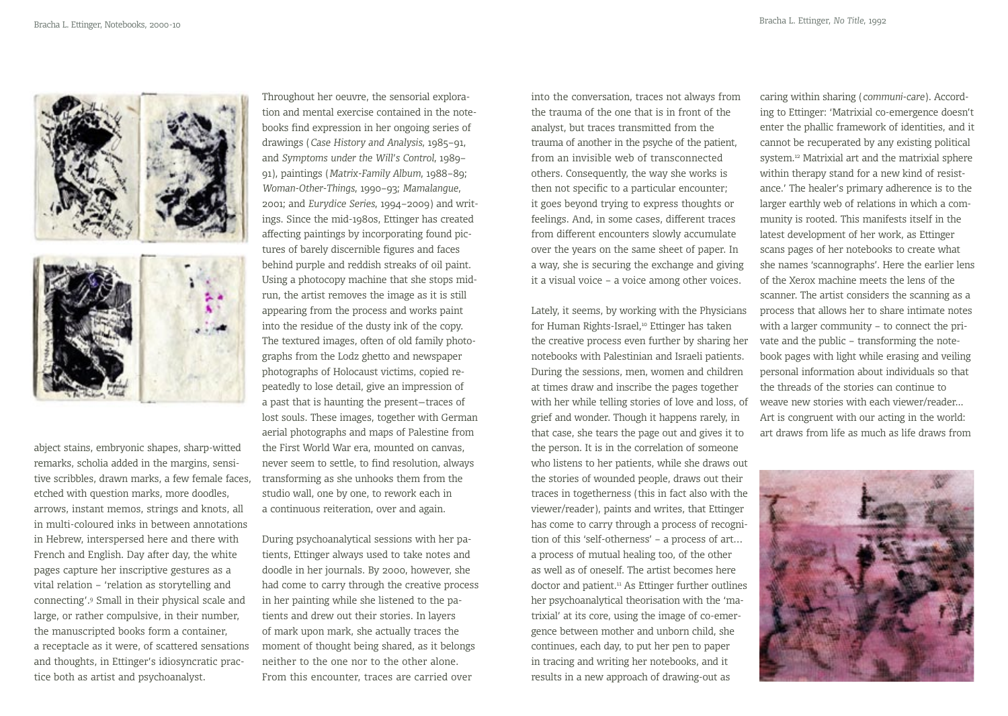

abject stains, embryonic shapes, sharp-witted remarks, scholia added in the margins, sensitive scribbles, drawn marks, a few female faces, etched with question marks, more doodles, arrows, instant memos, strings and knots, all in multi-coloured inks in between annotations in Hebrew, interspersed here and there with French and English. Day after day, the white pages capture her inscriptive gestures as a vital relation – 'relation as storytelling and connecting'.9 Small in their physical scale and large, or rather compulsive, in their number, the manuscripted books form a container, a receptacle as it were, of scattered sensations and thoughts, in Ettinger's idiosyncratic practice both as artist and psychoanalyst.

Throughout her oeuvre, the sensorial exploration and mental exercise contained in the notebooks find expression in her ongoing series of drawings (*Case History and Analysis*, 1985–91, and *Symptoms under the Will's Control*, 1989– 91), paintings (*Matrix-Family Album*, 1988–89; *Woman-Other-Things*, 1990–93; *Mamalangue*, 2001; and *Eurydice Series*, 1994–2009) and writings. Since the mid-1980s, Ettinger has created affecting paintings by incorporating found pictures of barely discernible figures and faces behind purple and reddish streaks of oil paint. Using a photocopy machine that she stops midrun, the artist removes the image as it is still appearing from the process and works paint into the residue of the dusty ink of the copy. The textured images, often of old family photographs from the Lodz ghetto and newspaper photographs of Holocaust victims, copied repeatedly to lose detail, give an impression of a past that is haunting the present—traces of lost souls. These images, together with German aerial photographs and maps of Palestine from the First World War era, mounted on canvas, never seem to settle, to find resolution, always transforming as she unhooks them from the studio wall, one by one, to rework each in a continuous reiteration, over and again.

During psychoanalytical sessions with her patients, Ettinger always used to take notes and doodle in her journals. By 2000, however, she had come to carry through the creative process in her painting while she listened to the patients and drew out their stories. In layers of mark upon mark, she actually traces the moment of thought being shared, as it belongs neither to the one nor to the other alone. From this encounter, traces are carried over

into the conversation, traces not always from the trauma of the one that is in front of the analyst, but traces transmitted from the trauma of another in the psyche of the patient, from an invisible web of transconnected others. Consequently, the way she works is then not specific to a particular encounter; it goes beyond trying to express thoughts or feelings. And, in some cases, different traces from different encounters slowly accumulate over the years on the same sheet of paper. In a way, she is securing the exchange and giving it a visual voice – a voice among other voices.

Lately, it seems, by working with the Physicians for Human Rights-Israel,<sup>10</sup> Ettinger has taken the creative process even further by sharing her notebooks with Palestinian and Israeli patients. During the sessions, men, women and children at times draw and inscribe the pages together with her while telling stories of love and loss, of grief and wonder. Though it happens rarely, in that case, she tears the page out and gives it to the person. It is in the correlation of someone who listens to her patients, while she draws out the stories of wounded people, draws out their traces in togetherness (this in fact also with the viewer/reader), paints and writes, that Ettinger has come to carry through a process of recognition of this 'self-otherness' – a process of art… a process of mutual healing too, of the other as well as of oneself. The artist becomes here doctor and patient.<sup>11</sup> As Ettinger further outlines her psychoanalytical theorisation with the 'matrixial' at its core, using the image of co-emergence between mother and unborn child, she continues, each day, to put her pen to paper in tracing and writing her notebooks, and it results in a new approach of drawing-out as

caring within sharing (*communi-care*). According to Ettinger: 'Matrixial co-emergence doesn't enter the phallic framework of identities, and it cannot be recuperated by any existing political system.12 Matrixial art and the matrixial sphere within therapy stand for a new kind of resistance.' The healer's primary adherence is to the larger earthly web of relations in which a community is rooted. This manifests itself in the latest development of her work, as Ettinger scans pages of her notebooks to create what she names 'scannographs'. Here the earlier lens of the Xerox machine meets the lens of the scanner. The artist considers the scanning as a process that allows her to share intimate notes with a larger community – to connect the private and the public – transforming the notebook pages with light while erasing and veiling personal information about individuals so that the threads of the stories can continue to weave new stories with each viewer/reader... Art is congruent with our acting in the world: art draws from life as much as life draws from

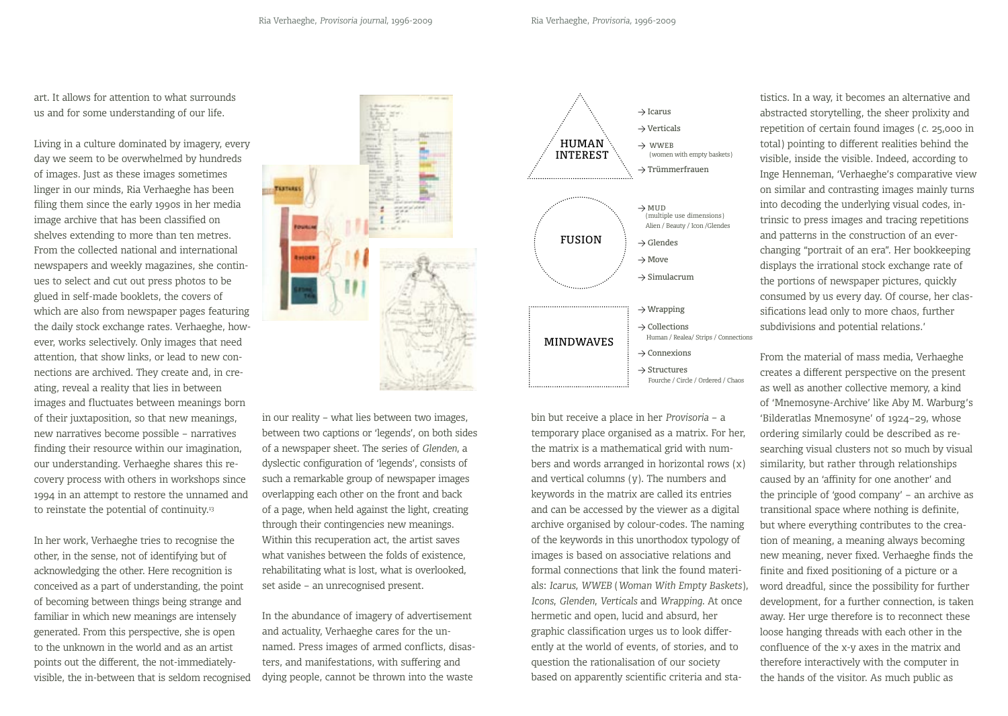art. It allows for attention to what surrounds us and for some understanding of our life.

Living in a culture dominated by imagery, every day we seem to be overwhelmed by hundreds of images. Just as these images sometimes linger in our minds, Ria Verhaeghe has been filing them since the early 1990s in her media image archive that has been classified on shelves extending to more than ten metres. From the collected national and international newspapers and weekly magazines, she continues to select and cut out press photos to be glued in self-made booklets, the covers of which are also from newspaper pages featuring the daily stock exchange rates*.* Verhaeghe, however, works selectively. Only images that need attention, that show links, or lead to new connections are archived. They create and, in creating, reveal a reality that lies in between images and fluctuates between meanings born of their juxtaposition, so that new meanings, new narratives become possible – narratives finding their resource within our imagination, our understanding. Verhaeghe shares this recovery process with others in workshops since 1994 in an attempt to restore the unnamed and to reinstate the potential of continuity.<sup>13</sup>

In her work, Verhaeghe tries to recognise the other, in the sense, not of identifying but of acknowledging the other. Here recognition is conceived as a part of understanding, the point of becoming between things being strange and familiar in which new meanings are intensely generated. From this perspective, she is open to the unknown in the world and as an artist points out the different, the not-immediatelyvisible, the in-between that is seldom recognised



in our reality – what lies between two images, between two captions or 'legends', on both sides of a newspaper sheet. The series of *Glenden*, a dyslectic configuration of 'legends', consists of such a remarkable group of newspaper images overlapping each other on the front and back of a page, when held against the light, creating through their contingencies new meanings. Within this recuperation act, the artist saves what vanishes between the folds of existence, rehabilitating what is lost, what is overlooked, set aside – an unrecognised present.

In the abundance of imagery of advertisement and actuality, Verhaeghe cares for the unnamed. Press images of armed conflicts, disasters, and manifestations, with suffering and dying people, cannot be thrown into the waste



bin but receive a place in her *Provisoria* – a temporary place organised as a matrix. For her, the matrix is a mathematical grid with numbers and words arranged in horizontal rows  $(x)$ and vertical columns (y). The numbers and keywords in the matrix are called its entries and can be accessed by the viewer as a digital archive organised by colour-codes. The naming of the keywords in this unorthodox typology of images is based on associative relations and formal connections that link the found materials: *Icarus*, *WWEB* (*Woman With Empty Baskets*), *Icons*, *Glenden*, *Verticals* and *Wrapping*. At once hermetic and open, lucid and absurd, her graphic classification urges us to look differently at the world of events, of stories, and to question the rationalisation of our society based on apparently scientific criteria and statistics. In a way, it becomes an alternative and abstracted storytelling, the sheer prolixity and repetition of certain found images (*c.* 25,000 in total) pointing to different realities behind the visible, inside the visible. Indeed, according to Inge Henneman, 'Verhaeghe's comparative view on similar and contrasting images mainly turns into decoding the underlying visual codes, intrinsic to press images and tracing repetitions and patterns in the construction of an everchanging "portrait of an era". Her bookkeeping displays the irrational stock exchange rate of the portions of newspaper pictures, quickly consumed by us every day. Of course, her classifications lead only to more chaos, further subdivisions and potential relations.'

From the material of mass media, Verhaeghe creates a different perspective on the present as well as another collective memory, a kind of 'Mnemosyne-Archive' like Aby M. Warburg's 'Bilderatlas Mnemosyne' of 1924–29, whose ordering similarly could be described as researching visual clusters not so much by visual similarity, but rather through relationships caused by an 'affinity for one another' and the principle of 'good company' – an archive as transitional space where nothing is definite, but where everything contributes to the creation of meaning, a meaning always becoming new meaning, never fixed. Verhaeghe finds the finite and fixed positioning of a picture or a word dreadful, since the possibility for further development, for a further connection, is taken away. Her urge therefore is to reconnect these loose hanging threads with each other in the confluence of the x-y axes in the matrix and therefore interactively with the computer in the hands of the visitor. As much public as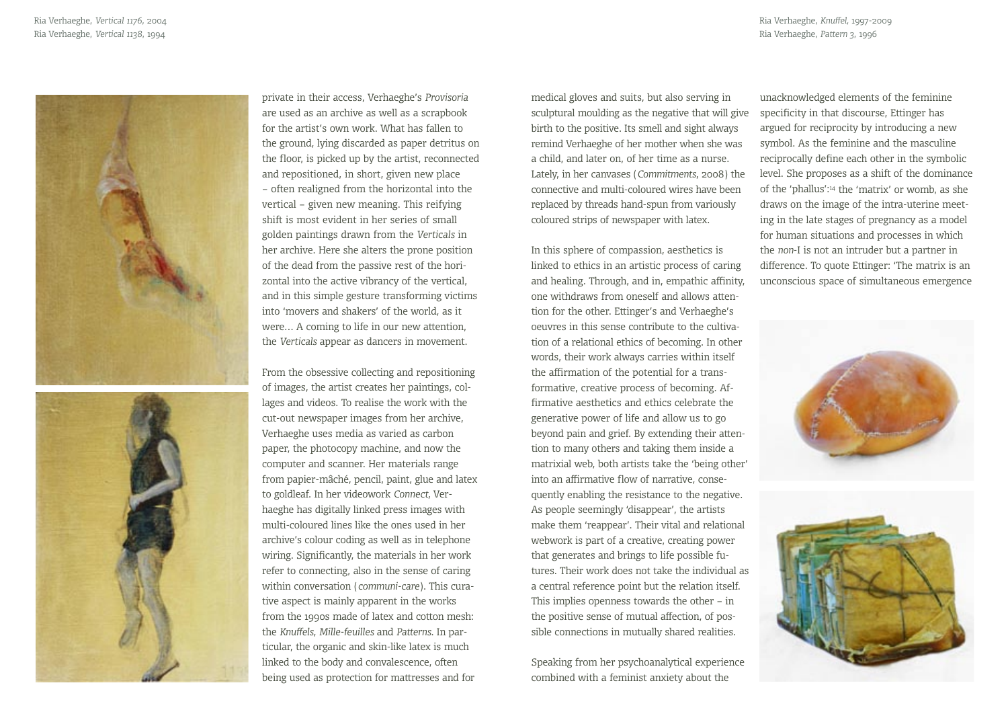Ria Verhaeghe, *Knuffel*, 1997-2009 Ria Verhaeghe, *Pattern 3*, 1996



private in their access, Verhaeghe's *Provisoria* are used as an archive as well as a scrapbook for the artist's own work. What has fallen to the ground, lying discarded as paper detritus on the floor, is picked up by the artist, reconnected and repositioned, in short, given new place – often realigned from the horizontal into the vertical – given new meaning. This reifying shift is most evident in her series of small golden paintings drawn from the *Verticals* in her archive. Here she alters the prone position of the dead from the passive rest of the horizontal into the active vibrancy of the vertical, and in this simple gesture transforming victims into 'movers and shakers' of the world, as it were… A coming to life in our new attention, the *Verticals* appear as dancers in movement.

From the obsessive collecting and repositioning of images, the artist creates her paintings, collages and videos. To realise the work with the cut-out newspaper images from her archive, Verhaeghe uses media as varied as carbon paper, the photocopy machine, and now the computer and scanner. Her materials range from papier-mâché, pencil, paint, glue and latex to goldleaf. In her videowork *Connect,* Verhaeghe has digitally linked press images with multi-coloured lines like the ones used in her archive's colour coding as well as in telephone wiring. Significantly, the materials in her work refer to connecting, also in the sense of caring within conversation (*communi-care*). This curative aspect is mainly apparent in the works from the 1990s made of latex and cotton mesh: the *Knuffels*, *Mille-feuilles* and *Patterns*. In particular, the organic and skin-like latex is much linked to the body and convalescence, often being used as protection for mattresses and for

medical gloves and suits, but also serving in sculptural moulding as the negative that will give birth to the positive. Its smell and sight always remind Verhaeghe of her mother when she was a child, and later on, of her time as a nurse. Lately, in her canvases (*Commitments*, 2008) the connective and multi-coloured wires have been replaced by threads hand-spun from variously coloured strips of newspaper with latex.

In this sphere of compassion, aesthetics is linked to ethics in an artistic process of caring and healing. Through, and in, empathic affinity, one withdraws from oneself and allows attention for the other. Ettinger's and Verhaeghe's oeuvres in this sense contribute to the cultivation of a relational ethics of becoming. In other words, their work always carries within itself the affirmation of the potential for a transformative, creative process of becoming. Affirmative aesthetics and ethics celebrate the generative power of life and allow us to go beyond pain and grief. By extending their attention to many others and taking them inside a matrixial web, both artists take the 'being other' into an affirmative flow of narrative, consequently enabling the resistance to the negative. As people seemingly 'disappear', the artists make them 'reappear'. Their vital and relational webwork is part of a creative, creating power that generates and brings to life possible futures. Their work does not take the individual as a central reference point but the relation itself. This implies openness towards the other – in the positive sense of mutual affection, of possible connections in mutually shared realities.

Speaking from her psychoanalytical experience combined with a feminist anxiety about the

unacknowledged elements of the feminine specificity in that discourse, Ettinger has argued for reciprocity by introducing a new symbol. As the feminine and the masculine reciprocally define each other in the symbolic level. She proposes as a shift of the dominance of the 'phallus':14 the 'matrix' or womb, as she draws on the image of the intra-uterine meeting in the late stages of pregnancy as a model for human situations and processes in which the *non*-I is not an intruder but a partner in difference. To quote Ettinger: 'The matrix is an unconscious space of simultaneous emergence



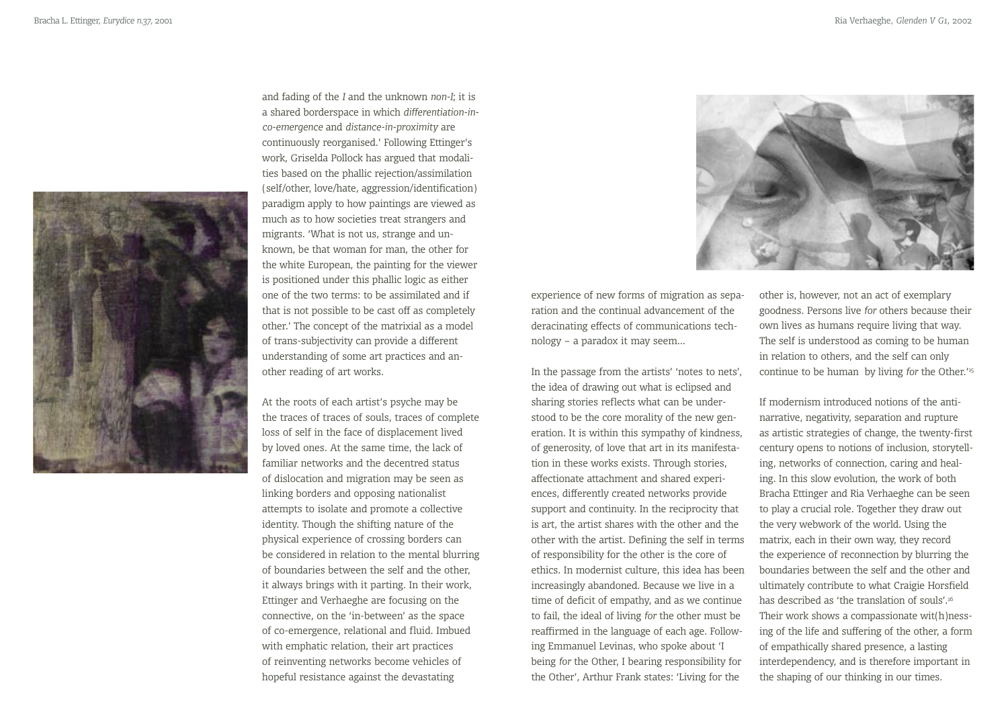

and fading of the *I* and the unknown *non-I*; it is a shared borderspace in which *differentiation-inco-emergence* and *distance-in-proximity* are continuously reorganised.' Following Ettinger's work, Griselda Pollock has argued that modalities based on the phallic rejection/assimilation (self/other, love/hate, aggression/identification) paradigm apply to how paintings are viewed as much as to how societies treat strangers and migrants. 'What is not us, strange and unknown, be that woman for man, the other for the white European, the painting for the viewer is positioned under this phallic logic as either one of the two terms: to be assimilated and if that is not possible to be cast off as completely other.' The concept of the matrixial as a model of trans-subjectivity can provide a different understanding of some art practices and another reading of art works.

At the roots of each artist's psyche may be the traces of traces of souls, traces of complete loss of self in the face of displacement lived by loved ones. At the same time, the lack of familiar networks and the decentred status of dislocation and migration may be seen as linking borders and opposing nationalist attempts to isolate and promote a collective identity. Though the shifting nature of the physical experience of crossing borders can be considered in relation to the mental blurring of boundaries between the self and the other, it always brings with it parting. In their work, Ettinger and Verhaeghe are focusing on the connective, on the 'in-between' as the space of co-emergence, relational and fluid. Imbued with emphatic relation, their art practices of reinventing networks become vehicles of hopeful resistance against the devastating



experience of new forms of migration as separation and the continual advancement of the deracinating effects of communications technology – a paradox it may seem...

In the passage from the artists' 'notes to nets', the idea of drawing out what is eclipsed and sharing stories reflects what can be understood to be the core morality of the new generation. It is within this sympathy of kindness, of generosity, of love that art in its manifestation in these works exists. Through stories, affectionate attachment and shared experiences, differently created networks provide support and continuity. In the reciprocity that is art, the artist shares with the other and the other with the artist. Defining the self in terms of responsibility for the other is the core of ethics. In modernist culture, this idea has been increasingly abandoned. Because we live in a time of deficit of empathy, and as we continue to fail, the ideal of living *for* the other must be reaffirmed in the language of each age. Following Emmanuel Levinas, who spoke about 'I being *for* the Other, I bearing responsibility for the Other', Arthur Frank states: 'Living for the

other is, however, not an act of exemplary goodness. Persons live *for* others because their own lives as humans require living that way. The self is understood as coming to be human in relation to others, and the self can only continue to be human by living *for* the Other.'15

If modernism introduced notions of the antinarrative, negativity, separation and rupture as artistic strategies of change, the twenty-first century opens to notions of inclusion, storytelling, networks of connection, caring and healing. In this slow evolution, the work of both Bracha Ettinger and Ria Verhaeghe can be seen to play a crucial role. Together they draw out the very webwork of the world. Using the matrix, each in their own way, they record the experience of reconnection by blurring the boundaries between the self and the other and ultimately contribute to what Craigie Horsfield has described as 'the translation of souls'.16 Their work shows a compassionate wit(h)nessing of the life and suffering of the other, a form of empathically shared presence, a lasting interdependency, and is therefore important in the shaping of our thinking in our times.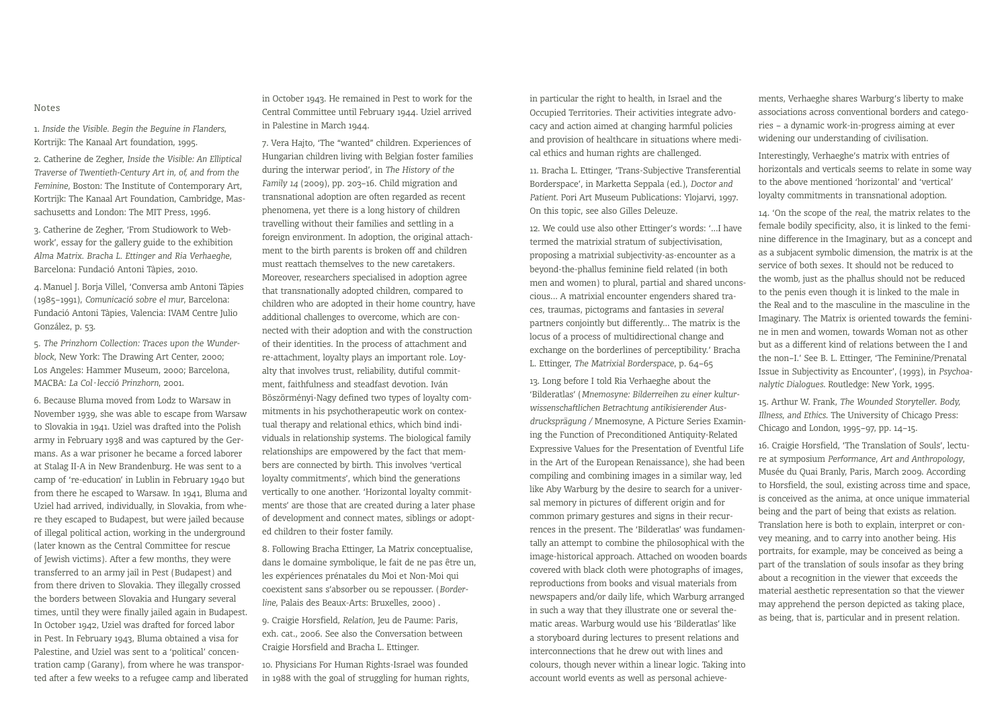#### Notes

1. *Inside the Visible. Begin the Beguine in Flanders*, Kortrijk: The Kanaal Art foundation, 1995.

2. Catherine de Zegher, *Inside the Visible: An Elliptical Traverse of Twentieth-Century Art in, of, and from the Feminine,* Boston: The Institute of Contemporary Art, Kortrijk: The Kanaal Art Foundation, Cambridge, Massachusetts and London: The MIT Press, 1996.

3. Catherine de Zegher, 'From Studiowork to Webwork', essay for the gallery guide to the exhibition *Alma Matrix. Bracha L. Ettinger and Ria Verhaeghe*, Barcelona: Fundació Antoni Tàpies, 2010.

4. Manuel J. Borja Villel, 'Conversa amb Antoni Tàpies (1985–1991), *Comunicació sobre el mur*, Barcelona: Fundació Antoni Tàpies, Valencia: IVAM Centre Julio González, p. 53.

5*. The Prinzhorn Collection: Traces upon the Wunderblock*, New York: The Drawing Art Center, 2000; Los Angeles: Hammer Museum, 2000; Barcelona, MACBA: *La Col·lecció Prinzhorn*, 2001.

6. Because Bluma moved from Lodz to Warsaw in November 1939, she was able to escape from Warsaw to Slovakia in 1941. Uziel was drafted into the Polish army in February 1938 and was captured by the Germans. As a war prisoner he became a forced laborer at Stalag II-A in New Brandenburg. He was sent to a camp of 're-education' in Lublin in February 1940 but from there he escaped to Warsaw. In 1941, Bluma and Uziel had arrived, individually, in Slovakia, from where they escaped to Budapest, but were jailed because of illegal political action, working in the underground (later known as the Central Committee for rescue of Jewish victims). After a few months, they were transferred to an army jail in Pest (Budapest) and from there driven to Slovakia. They illegally crossed the borders between Slovakia and Hungary several times, until they were finally jailed again in Budapest. In October 1942, Uziel was drafted for forced labor in Pest. In February 1943, Bluma obtained a visa for Palestine, and Uziel was sent to a 'political' concentration camp (Garany), from where he was transported after a few weeks to a refugee camp and liberated in October 1943. He remained in Pest to work for the Central Committee until February 1944. Uziel arrived in Palestine in March 1944.

7. Vera Hajto, 'The "wanted" children. Experiences of Hungarian children living with Belgian foster families during the interwar period', in *The History of the Family 14* (2009), pp. 203–16. Child migration and transnational adoption are often regarded as recent phenomena, yet there is a long history of children travelling without their families and settling in a foreign environment. In adoption, the original attachment to the birth parents is broken off and children must reattach themselves to the new caretakers. Moreover, researchers specialised in adoption agree that transnationally adopted children, compared to children who are adopted in their home country, have additional challenges to overcome, which are connected with their adoption and with the construction of their identities. In the process of attachment and re-attachment, loyalty plays an important role. Loyalty that involves trust, reliability, dutiful commitment, faithfulness and steadfast devotion. Iván Böszörményi-Nagy defined two types of loyalty commitments in his psychotherapeutic work on contextual therapy and relational ethics, which bind individuals in relationship systems. The biological family relationships are empowered by the fact that members are connected by birth. This involves 'vertical loyalty commitments', which bind the generations vertically to one another. 'Horizontal loyalty commitments' are those that are created during a later phase of development and connect mates, siblings or adopted children to their foster family.

8. Following Bracha Ettinger, La Matrix conceptualise, dans le domaine symbolique, le fait de ne pas être un, les expériences prénatales du Moi et Non-Moi qui coexistent sans s'absorber ou se repousser. (*Borderline*, Palais des Beaux-Arts: Bruxelles, 2000) .

9. Craigie Horsfield, *Relation*, Jeu de Paume: Paris, exh. cat., 2006. See also the Conversation between Craigie Horsfield and Bracha L. Ettinger.

10. Physicians For Human Rights-Israel was founded in 1988 with the goal of struggling for human rights, in particular the right to health, in Israel and the Occupied Territories. Their activities integrate advocacy and action aimed at changing harmful policies and provision of healthcare in situations where medical ethics and human rights are challenged.

11. Bracha L. Ettinger, 'Trans-Subjective Transferential Borderspace', in Marketta Seppala (ed.), *Doctor and Patient*. Pori Art Museum Publications: Ylojarvi, 1997. On this topic, see also Gilles Deleuze.

12. We could use also other Ettinger's words: '...I have termed the matrixial stratum of subjectivisation, proposing a matrixial subjectivity-as-encounter as a beyond-the-phallus feminine field related (in both men and women) to plural, partial and shared unconscious... A matrixial encounter engenders shared traces, traumas, pictograms and fantasies in *several* partners conjointly but differently... The matrix is the locus of a process of multidirectional change and exchange on the borderlines of perceptibility.' Bracha L. Ettinger, *The Matrixial Borderspace*, p. 64–65

13. Long before I told Ria Verhaeghe about the 'Bilderatlas' (*Mnemosyne: Bilderreihen zu einer kulturwissenschaftlichen Betrachtung antikisierender Ausdrucksprägung /* Mnemosyne, A Picture Series Examining the Function of Preconditioned Antiquity-Related Expressive Values for the Presentation of Eventful Life in the Art of the European Renaissance), she had been compiling and combining images in a similar way, led like Aby Warburg by the desire to search for a universal memory in pictures of different origin and for common primary gestures and signs in their recurrences in the present. The 'Bilderatlas' was fundamentally an attempt to combine the philosophical with the image-historical approach. Attached on wooden boards covered with black cloth were photographs of images, reproductions from books and visual materials from newspapers and/or daily life, which Warburg arranged in such a way that they illustrate one or several thematic areas. Warburg would use his 'Bilderatlas' like a storyboard during lectures to present relations and interconnections that he drew out with lines and colours, though never within a linear logic. Taking into account world events as well as personal achieve-

ments, Verhaeghe shares Warburg's liberty to make associations across conventional borders and categories – a dynamic work-in-progress aiming at ever widening our understanding of civilisation.

Interestingly, Verhaeghe's matrix with entries of horizontals and verticals seems to relate in some way to the above mentioned 'horizontal' and 'vertical' loyalty commitments in transnational adoption.

14. 'On the scope of the *real,* the matrix relates to the female bodily specificity, also, it is linked to the feminine difference in the Imaginary, but as a concept and as a subjacent symbolic dimension, the matrix is at the service of both sexes. It should not be reduced to the womb, just as the phallus should not be reduced to the penis even though it is linked to the male in the Real and to the masculine in the masculine in the Imaginary. The Matrix is oriented towards the feminine in men and women, towards Woman not as other but as a different kind of relations between the I and the non–I.' See B. L. Ettinger, 'The Feminine/Prenatal Issue in Subjectivity as Encounter', (1993), in *Psychoanalytic Dialogues*. Routledge: New York, 1995.

15. Arthur W. Frank, *The Wounded Storyteller*. *Body, Illness, and Ethics*. The University of Chicago Press: Chicago and London, 1995–97, pp. 14–15.

16. Craigie Horsfield, 'The Translation of Souls', lecture at symposium *Performance, Art and Anthropology*, Musée du Quai Branly, Paris, March 2009. According to Horsfield, the soul, existing across time and space, is conceived as the anima, at once unique immaterial being and the part of being that exists as relation. Translation here is both to explain, interpret or convey meaning, and to carry into another being. His portraits, for example, may be conceived as being a part of the translation of souls insofar as they bring about a recognition in the viewer that exceeds the material aesthetic representation so that the viewer may apprehend the person depicted as taking place, as being, that is, particular and in present relation.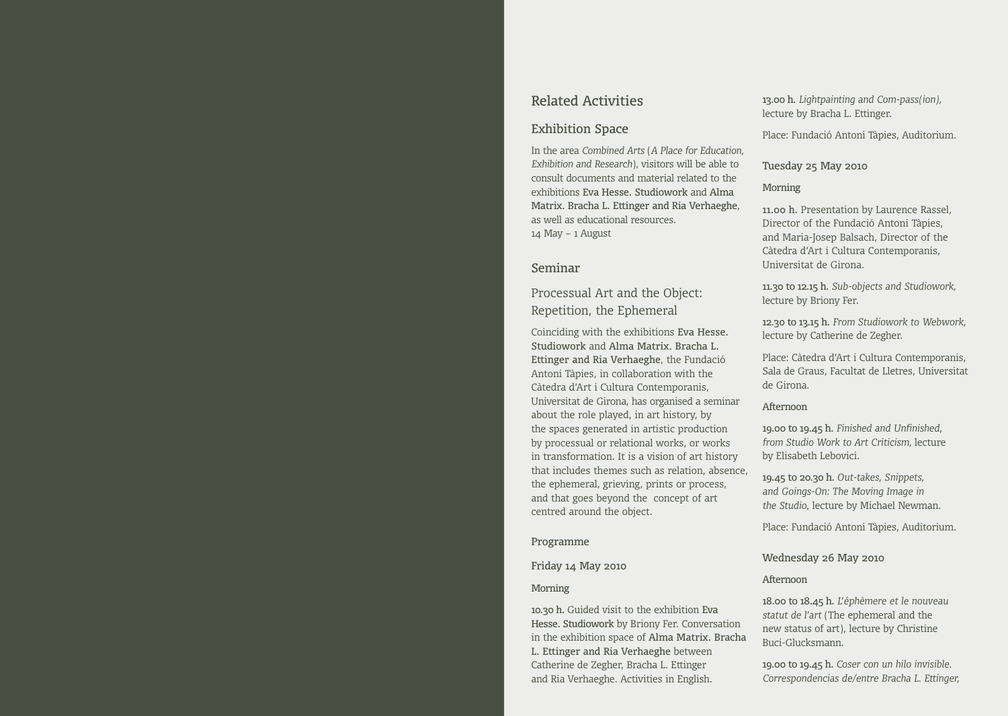## Related Activities

#### Exhibition Space

In the area *Combined Arts* (*A Place for Education, Exhibition and Research*), visitors will be able to consult documents and material related to the exhibitions Eva Hesse. Studiowork and Alma Matrix. Bracha L. Ettinger and Ria Verhaeghe, as well as educational resources. 14 May – 1 August

#### Seminar

Processual Art and the Object: Repetition, the Ephemeral

Coinciding with the exhibitions Eva Hesse. Studiowork and Alma Matrix. Bracha L. Ettinger and Ria Verhaeghe, the Fundació Antoni Tàpies, in collaboration with the Càtedra d'Art i Cultura Contemporanis, Universitat de Girona, has organised a seminar about the role played, in art history, by the spaces generated in artistic production by processual or relational works, or works in transformation. It is a vision of art history that includes themes such as relation, absence, the ephemeral, grieving, prints or process, and that goes beyond the concept of art centred around the object.

#### Programme

#### Friday 14 May 2010

#### Morning

10.30 h. Guided visit to the exhibition Eva Hesse. Studiowork by Briony Fer. Conversation in the exhibition space of Alma Matrix. Bracha L. Ettinger and Ria Verhaeghe between Catherine de Zegher, Bracha L. Ettinger and Ria Verhaeghe. Activities in English.

13.00 h. *Lightpainting and Com-pass(ion),*  lecture by Bracha L. Ettinger.

Place: Fundació Antoni Tàpies, Auditorium.

#### Tuesday 25 May 2010

#### Morning

11.00 h. Presentation by Laurence Rassel, Director of the Fundació Antoni Tàpies, and Maria-Josep Balsach, Director of the Càtedra d'Art i Cultura Contemporanis, Universitat de Girona.

11.30 to 12.15 h. *Sub-objects and Studiowork*, lecture by Briony Fer.

12.30 to 13.15 h. *From Studiowork to Webwork*, lecture by Catherine de Zegher.

Place: Càtedra d'Art i Cultura Contemporanis, Sala de Graus, Facultat de Lletres, Universitat de Girona.

#### Afternoon

19.00 to 19.45 h. *Finished and Unfinished, from Studio Work to Art Criticism,* lecture by Elisabeth Lebovici.

19.45 to 20.30 h. *Out-takes, Snippets, and Goings-On: The Moving Image in the Studio*, lecture by Michael Newman.

Place: Fundació Antoni Tàpies, Auditorium.

Wednesday 26 May 2010

#### Afternoon

18.00 to 18.45 h. *L'éphèmere et le nouveau statut de l'art* (The ephemeral and the new status of art), lecture by Christine Buci-Glucksmann.

19.00 to 19.45 h. *Coser con un hilo invisible. Correspondencias de/entre Bracha L. Ettinger,*